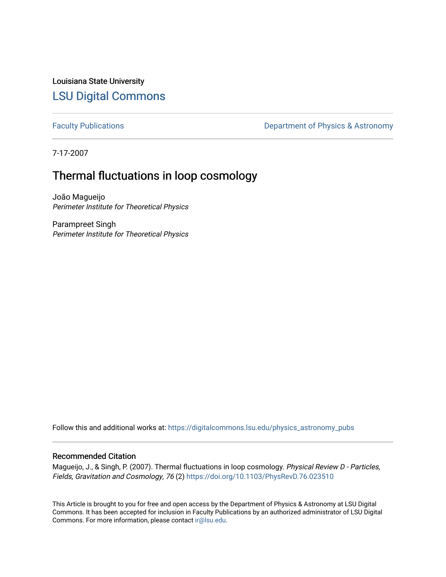Louisiana State University [LSU Digital Commons](https://digitalcommons.lsu.edu/)

[Faculty Publications](https://digitalcommons.lsu.edu/physics_astronomy_pubs) **Exercise 2** Constant Department of Physics & Astronomy

7-17-2007

# Thermal fluctuations in loop cosmology

João Magueijo Perimeter Institute for Theoretical Physics

Parampreet Singh Perimeter Institute for Theoretical Physics

Follow this and additional works at: [https://digitalcommons.lsu.edu/physics\\_astronomy\\_pubs](https://digitalcommons.lsu.edu/physics_astronomy_pubs?utm_source=digitalcommons.lsu.edu%2Fphysics_astronomy_pubs%2F5081&utm_medium=PDF&utm_campaign=PDFCoverPages) 

# Recommended Citation

Magueijo, J., & Singh, P. (2007). Thermal fluctuations in loop cosmology. Physical Review D - Particles, Fields, Gravitation and Cosmology, 76 (2)<https://doi.org/10.1103/PhysRevD.76.023510>

This Article is brought to you for free and open access by the Department of Physics & Astronomy at LSU Digital Commons. It has been accepted for inclusion in Faculty Publications by an authorized administrator of LSU Digital Commons. For more information, please contact [ir@lsu.edu](mailto:ir@lsu.edu).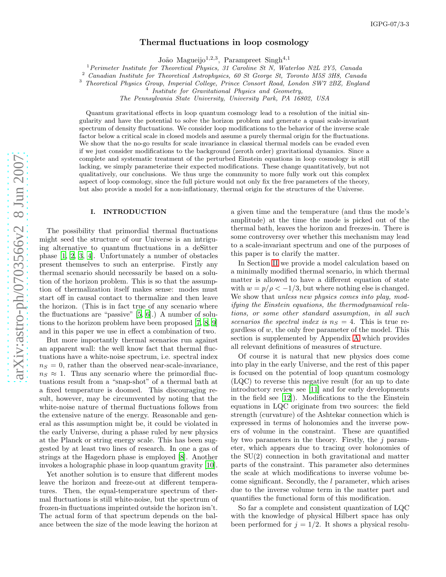# Thermal fluctuations in loop cosmology

João Magueijo<sup>1,2,3</sup>, Parampreet Singh<sup>4,1</sup>

<sup>1</sup> Perimeter Institute for Theoretical Physics, 31 Caroline St N, Waterloo N2L 2Y5, Canada

<sup>2</sup> Canadian Institute for Theoretical Astrophysics, 60 St George St, Toronto M5S 3H8, Canada

<sup>3</sup> Theoretical Physics Group, Imperial College, Prince Consort Road, London SW7 2BZ, England <sup>4</sup>

<sup>4</sup> Institute for Gravitational Physics and Geometry,

The Pennsylvania State University, University Park, PA 16802, USA

Quantum gravitational effects in loop quantum cosmology lead to a resolution of the initial singularity and have the potential to solve the horizon problem and generate a quasi scale-invariant spectrum of density fluctuations. We consider loop modifications to the behavior of the inverse scale factor below a critical scale in closed models and assume a purely thermal origin for the fluctuations. We show that the no-go results for scale invariance in classical thermal models can be evaded even if we just consider modifications to the background (zeroth order) gravitational dynamics. Since a complete and systematic treatment of the perturbed Einstein equations in loop cosmology is still lacking, we simply parameterize their expected modifications. These change quantitatively, but not qualitatively, our conclusions. We thus urge the community to more fully work out this complex aspect of loop cosmology, since the full picture would not only fix the free parameters of the theory, but also provide a model for a non-inflationary, thermal origin for the structures of the Universe.

### I. INTRODUCTION

The possibility that primordial thermal fluctuations might seed the structure of our Universe is an intriguing alternative to quantum fluctuations in a deSitter phase [\[1](#page-10-0), [2,](#page-10-1) [3,](#page-10-2) [4\]](#page-10-3). Unfortunately a number of obstacles present themselves to such an enterprise. Firstly any thermal scenario should necessarily be based on a solution of the horizon problem. This is so that the assumption of thermalization itself makes sense: modes must start off in causal contact to thermalize and then leave the horizon. (This is in fact true of any scenario where the fluctuations are "passive" [\[5](#page-10-4), [6\]](#page-10-5).) A number of solutions to the horizon problem have been proposed [\[7,](#page-10-6) [8,](#page-10-7) [9](#page-10-8)] and in this paper we use in effect a combination of two.

But more importantly thermal scenarios run against an apparent wall: the well know fact that thermal fluctuations have a white-noise spectrum, i.e. spectral index  $n<sub>S</sub> = 0$ , rather than the observed near-scale-invariance,  $n_S \approx 1$ . Thus any scenario where the primordial fluctuations result from a "snap-shot" of a thermal bath at a fixed temperature is doomed. This discouraging result, however, may be circumvented by noting that the white-noise nature of thermal fluctuations follows from the extensive nature of the energy. Reasonable and general as this assumption might be, it could be violated in the early Universe, during a phase ruled by new physics at the Planck or string energy scale. This has been suggested by at least two lines of research. In one a gas of strings at the Hagedorn phase is employed [\[8](#page-10-7)]. Another invokes a holographic phase in loop quantum gravity [\[10\]](#page-10-9).

Yet another solution is to ensure that different modes leave the horizon and freeze-out at different temperatures. Then, the equal-temperature spectrum of thermal fluctuations is still white-noise, but the spectrum of frozen-in fluctuations imprinted outside the horizon isn't. The actual form of that spectrum depends on the balance between the size of the mode leaving the horizon at

a given time and the temperature (and thus the mode's amplitude) at the time the mode is picked out of the thermal bath, leaves the horizon and freezes-in. There is some controversy over whether this mechanism may lead to a scale-invariant spectrum and one of the purposes of this paper is to clarify the matter.

In Section [II](#page-2-0) we provide a model calculation based on a minimally modified thermal scenario, in which thermal matter is allowed to have a different equation of state with  $w = p/\rho < -1/3$ , but where nothing else is changed. We show that unless new physics comes into play, modifying the Einstein equations, the thermodynamical relations, or some other standard assumption, in all such scenarios the spectral index is  $n<sub>S</sub> = 4$ . This is true regardless of w, the only free parameter of the model. This section is supplemented by Appendix [A](#page-7-0) which provides all relevant definitions of measures of structure.

Of course it is natural that new physics does come into play in the early Universe, and the rest of this paper is focused on the potential of loop quantum cosmology (LQC) to reverse this negative result (for an up to date introductory review see [\[11\]](#page-10-10) and for early developments in the field see [\[12](#page-10-11)]). Modifications to the the Einstein equations in LQC originate from two sources: the field strength (curvature) of the Ashtekar connection which is expressed in terms of holonomies and the inverse powers of volume in the constraint. These are quantified by two parameters in the theory. Firstly, the  $j$  parameter, which appears due to tracing over holonomies of the SU(2) connection in both gravitational and matter parts of the constraint. This parameter also determines the scale at which modifications to inverse volume become significant. Secondly, the l parameter, which arises due to the inverse volume term in the matter part and quantifies the functional form of this modification.

So far a complete and consistent quantization of LQC with the knowledge of physical Hilbert space has only been performed for  $j = 1/2$ . It shows a physical resolu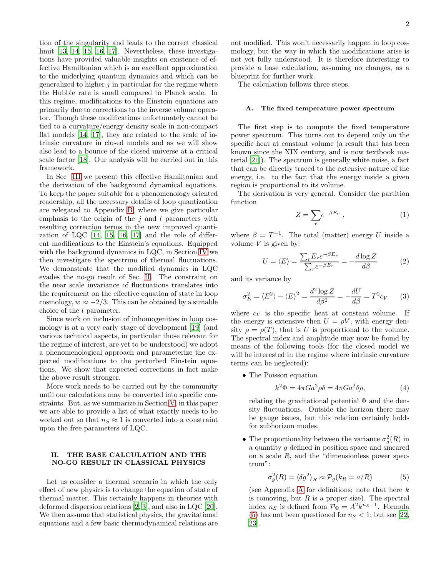tion of the singularity and leads to the correct classical limit [\[13](#page-10-12), [14,](#page-10-13) [15,](#page-10-14) [16,](#page-10-15) [17\]](#page-10-16). Nevertheless, these investigations have provided valuable insights on existence of effective Hamiltonian which is an excellent approximation to the underlying quantum dynamics and which can be generalized to higher  $j$  in particular for the regime where the Hubble rate is small compared to Planck scale. In this regime, modifications to the Einstein equations are primarily due to corrections to the inverse volume operator. Though these modifications unfortunately cannot be tied to a curvature/energy density scale in non-compact flat models [\[14](#page-10-13), [17](#page-10-16)], they are related to the scale of intrinsic curvature in closed models and as we will show also lead to a bounce of the closed universe at a critical scale factor [\[18](#page-10-17)]. Our analysis will be carried out in this framework.

In Sec [III](#page-4-0) we present this effective Hamiltonian and the derivation of the background dynamical equations. To keep the paper suitable for a phenomenology oriented readership, all the necessary details of loop quantization are relegated to Appendix [B,](#page-8-0) where we give particular emphasis to the origin of the j and l parameters with resulting correction terms in the new improved quantization of LQC [\[14,](#page-10-13) [15,](#page-10-14) [16,](#page-10-15) [17\]](#page-10-16) and the role of different modifications to the Einstein's equations. Equipped with the background dynamics in LQC, in Section [IV](#page-5-0) we then investigate the spectrum of thermal fluctuations. We demonstrate that the modified dynamics in LQC evades the no-go result of Sec. [II.](#page-2-0) The constraint on the near scale invariance of fluctuations translates into the requirement on the effective equation of state in loop cosmology,  $w \approx -2/3$ . This can be obtained by a suitable choice of the l parameter.

Since work on inclusion of inhomogenities in loop cosmology is at a very early stage of development [\[19](#page-10-18)] (and various technical aspects, in particular those relevant for the regime of interest, are yet to be understood) we adopt a phenomenological approach and parameterize the expected modifications to the perturbed Einstein equations. We show that expected corrections in fact make the above result stronger.

More work needs to be carried out by the community until our calculations may be converted into specific constraints. But, as we summarize in Section [V,](#page-6-0) in this paper we are able to provide a list of what exactly needs to be worked out so that  $n_S \approx 1$  is converted into a constraint upon the free parameters of LQC.

#### <span id="page-2-0"></span>II. THE BASE CALCULATION AND THE NO-GO RESULT IN CLASSICAL PHYSICS

Let us consider a thermal scenario in which the only effect of new physics is to change the equation of state of thermal matter. This certainly happens in theories with deformed dispersion relations [\[2](#page-10-1), [3\]](#page-10-2), and also in LQC [\[20\]](#page-10-19). We then assume that statistical physics, the gravitational equations and a few basic thermodynamical relations are not modified. This won't necessarily happen in loop cosmology, but the way in which the modifications arise is not yet fully understood. It is therefore interesting to provide a base calculation, assuming no changes, as a blueprint for further work.

The calculation follows three steps.

#### A. The fixed temperature power spectrum

The first step is to compute the fixed temperature power spectrum. This turns out to depend only on the specific heat at constant volume (a result that has been known since the XIX century, and is now textbook material [\[21](#page-10-20)]). The spectrum is generally white noise, a fact that can be directly traced to the extensive nature of the energy, i.e. to the fact that the energy inside a given region is proportional to its volume.

The derivation is very general. Consider the partition function

$$
Z = \sum_{r} e^{-\beta E_r} \tag{1}
$$

where  $\beta = T^{-1}$ . The total (matter) energy U inside a volume  $V$  is given by:

$$
U = \langle E \rangle = \frac{\sum_{r} E_{r} e^{-\beta E_{r}}}{\sum_{r} e^{-\beta E_{r}}} = -\frac{d \log Z}{d \beta}
$$
 (2)

and its variance by

<span id="page-2-2"></span>
$$
\sigma_E^2 = \langle E^2 \rangle - \langle E \rangle^2 = \frac{d^2 \log Z}{d\beta^2} = -\frac{dU}{d\beta} = T^2 c_V \qquad (3)
$$

where  $c_V$  is the specific heat at constant volume. If the energy is extensive then  $U = \rho V$ , with energy density  $\rho = \rho(T)$ , that is U is proportional to the volume. The spectral index and amplitude may now be found by means of the following tools (for the closed model we will be interested in the regime where intrinsic curvature terms can be neglected):

• The Poisson equation

<span id="page-2-3"></span>
$$
k^2 \Phi = 4\pi G a^2 \rho \delta = 4\pi G a^2 \delta \rho,\tag{4}
$$

relating the gravitational potential  $\Phi$  and the density fluctuations. Outside the horizon there may be gauge issues, but this relation certainly holds for subhorizon modes.

• The proportionality between the variance  $\sigma_g^2(R)$  in a quantity g defined in position space and smeared on a scale  $R$ , and the "dimensionless power spectrum":

<span id="page-2-1"></span>
$$
\sigma_g^2(R) = \langle \delta g^2 \rangle_R \approx \mathcal{P}_g(k_R = a/R) \tag{5}
$$

(see [A](#page-7-0)ppendix A for definitions; note that here  $k$ is comoving, but  $R$  is a proper size). The spectral index  $n_S$  is defined from  $\mathcal{P}_{\Phi} = A^2 k^{n_S - 1}$ . Formula [\(5\)](#page-2-1) has not been questioned for  $n_S < 1$ ; but see [\[22](#page-10-21), [23\]](#page-10-22).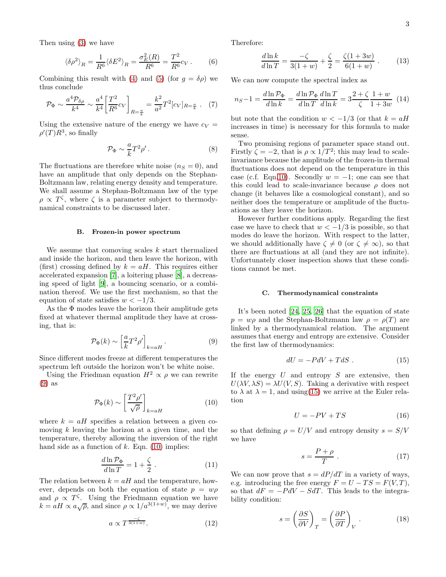Then using [\(3\)](#page-2-2) we have

$$
\langle \delta \rho^2 \rangle_R = \frac{1}{R^6} \langle \delta E^2 \rangle_R = \frac{\sigma_E^2(R)}{R^6} = \frac{T^2}{R^6} c_V \,. \tag{6}
$$

Combining this result with [\(4\)](#page-2-3) and [\(5\)](#page-2-1) (for  $q = \delta \rho$ ) we thus conclude

$$
\mathcal{P}_{\Phi} \sim \frac{a^4 \mathcal{P}_{\delta \rho}}{k^4} \sim \frac{a^4}{k^4} \left[ \frac{T^2}{R^6} c_V \right]_{R = \frac{a}{k}} = \frac{k^2}{a^2} T^2 [c_V]_{R = \frac{a}{k}} . \tag{7}
$$

Using the extensive nature of the energy we have  $c_V =$  $\rho'(T)R^3$ , so finally

$$
\mathcal{P}_{\Phi} \sim \frac{a}{k} T^2 \rho' \,. \tag{8}
$$

The fluctuations are therefore white noise  $(n<sub>S</sub> = 0)$ , and have an amplitude that only depends on the Stephan-Boltzmann law, relating energy density and temperature. We shall assume a Stephan-Boltzmann law of the type  $\rho \propto T^{\zeta}$ , where  $\zeta$  is a parameter subject to thermodynamical constraints to be discussed later.

#### B. Frozen-in power spectrum

We assume that comoving scales  $k$  start thermalized and inside the horizon, and then leave the horizon, with (first) crossing defined by  $k = aH$ . This requires either accelerated expansion [\[7](#page-10-6)], a loitering phase [\[8](#page-10-7)], a decreasing speed of light [\[9](#page-10-8)], a bouncing scenario, or a combination thereof. We use the first mechanism, so that the equation of state satisfies  $w < -1/3$ .

As the  $\Phi$  modes leave the horizon their amplitude gets fixed at whatever thermal amplitude they have at crossing, that is:

<span id="page-3-0"></span>
$$
\mathcal{P}_{\Phi}(k) \sim \left[\frac{a}{k}T^2\rho'\right]_{k=aH}.\tag{9}
$$

Since different modes freeze at different temperatures the spectrum left outside the horizon won't be white noise.

Using the Friedman equation  $H^2 \propto \rho$  we can rewrite [\(9\)](#page-3-0) as

<span id="page-3-1"></span>
$$
\mathcal{P}_{\Phi}(k) \sim \left[\frac{T^2 \rho'}{\sqrt{\rho}}\right]_{k=aH}
$$
\n(10)

where  $k = aH$  specifies a relation between a given comoving  $k$  leaving the horizon at a given time, and the temperature, thereby allowing the inversion of the right hand side as a function of  $k$ . Eqn. [\(10\)](#page-3-1) implies:

<span id="page-3-5"></span>
$$
\frac{d\ln \mathcal{P}_{\Phi}}{d\ln T} = 1 + \frac{\zeta}{2} \ . \tag{11}
$$

The relation between  $k = aH$  and the temperature, however, depends on both the equation of state  $p = w\rho$ and  $\rho \propto T^{\zeta}$ . Using the Friedmann equation we have  $k = aH \propto a\sqrt{\rho}$ , and since  $\rho \propto 1/a^{3(1+w)}$ , we may derive

<span id="page-3-4"></span>
$$
a \propto T^{\frac{-\zeta}{3(1+w)}}.\tag{12}
$$

Therefore:

$$
\frac{d\ln k}{d\ln T} = \frac{-\zeta}{3(1+w)} + \frac{\zeta}{2} = \frac{\zeta(1+3w)}{6(1+w)} . \tag{13}
$$

We can now compute the spectral index as

<span id="page-3-3"></span>
$$
n_S - 1 = \frac{d \ln \mathcal{P}_{\Phi}}{d \ln k} = \frac{d \ln \mathcal{P}_{\Phi}}{d \ln T} \frac{d \ln T}{d \ln k} = 3 \frac{2 + \zeta}{\zeta} \frac{1 + w}{1 + 3w} \tag{14}
$$

but note that the condition  $w < -1/3$  (or that  $k = aH$ increases in time) is necessary for this formula to make sense.

Two promising regions of parameter space stand out. Firstly  $\zeta = -2$ , that is  $\rho \propto 1/T^2$ ; this may lead to scaleinvariance because the amplitude of the frozen-in thermal fluctuations does not depend on the temperature in this case (c.f. Eqn[.10\)](#page-3-1). Secondly  $w = -1$ ; one can see that this could lead to scale-invariance because  $\rho$  does not change (it behaves like a cosmological constant), and so neither does the temperature or amplitude of the fluctuations as they leave the horizon.

However further conditions apply. Regarding the first case we have to check that  $w < -1/3$  is possible, so that modes do leave the horizon. With respect to the latter, we should additionally have  $\zeta \neq 0$  (or  $\zeta \neq \infty$ ), so that there are fluctuations at all (and they are not infinite). Unfortunately closer inspection shows that these conditions cannot be met.

#### C. Thermodynamical constraints

It's been noted [\[24,](#page-10-23) [25,](#page-10-24) [26\]](#page-10-25) that the equation of state  $p = w\rho$  and the Stephan-Boltzmann law  $\rho = \rho(T)$  are linked by a thermodynamical relation. The argument assumes that energy and entropy are extensive. Consider the first law of thermodynamics:

<span id="page-3-2"></span>
$$
dU = -PdV + TdS \t\t(15)
$$

If the energy  $U$  and entropy  $S$  are extensive, then  $U(\lambda V, \lambda S) = \lambda U(V, S)$ . Taking a derivative with respect to  $\lambda$  at  $\lambda = 1$ , and using [\(15\)](#page-3-2) we arrive at the Euler relation

$$
U = -PV + TS \tag{16}
$$

so that defining  $\rho = U/V$  and entropy density  $s = S/V$ we have

$$
s = \frac{P + \rho}{T} \ . \tag{17}
$$

We can now prove that  $s = dP/dT$  in a variety of ways, e.g. introducing the free energy  $F = U - TS = F(V, T)$ , so that  $dF = -PdV - SdT$ . This leads to the integrability condition:

$$
s = \left(\frac{\partial S}{\partial V}\right)_T = \left(\frac{\partial P}{\partial T}\right)_V.
$$
 (18)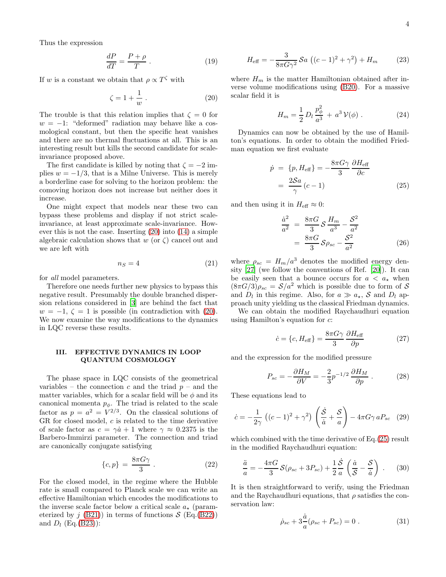Thus the expression

$$
\frac{dP}{dT} = \frac{P + \rho}{T} \tag{19}
$$

If w is a constant we obtain that  $\rho \propto T^{\zeta}$  with

<span id="page-4-1"></span>
$$
\zeta = 1 + \frac{1}{w} \ . \tag{20}
$$

The trouble is that this relation implies that  $\zeta = 0$  for  $w = -1$ : "deformed" radiation may behave like a cosmological constant, but then the specific heat vanishes and there are no thermal fluctuations at all. This is an interesting result but kills the second candidate for scaleinvariance proposed above.

The first candidate is killed by noting that  $\zeta = -2$  implies  $w = -1/3$ , that is a Milne Universe. This is merely a borderline case for solving to the horizon problem: the comoving horizon does not increase but neither does it increase.

One might expect that models near these two can bypass these problems and display if not strict scaleinvariance, at least approximate scale-invariance. However this is not the case. Inserting [\(20\)](#page-4-1) into [\(14\)](#page-3-3) a simple algebraic calculation shows that w (or  $\zeta$ ) cancel out and we are left with

$$
n_S = 4 \tag{21}
$$

for all model parameters.

Therefore one needs further new physics to bypass this negative result. Presumably the double branched dispersion relations considered in [\[3\]](#page-10-2) are behind the fact that  $w = -1, \zeta = 1$  is possible (in contradiction with [\(20\)](#page-4-1). We now examine the way modifications to the dynamics in LQC reverse these results.

# <span id="page-4-0"></span>III. EFFECTIVE DYNAMICS IN LOOP QUANTUM COSMOLOGY

The phase space in LQC consists of the geometrical variables – the connection c and the triad  $p$  – and the matter variables, which for a scalar field will be  $\phi$  and its canonical momenta  $p_{\phi}$ . The triad is related to the scale factor as  $p = a^2 = V^{2/3}$ . On the classical solutions of GR for closed model,  $c$  is related to the time derivative of scale factor as  $c = \gamma \dot{a} + 1$  where  $\gamma \approx 0.2375$  is the Barbero-Immirzi parameter. The connection and triad are canonically conjugate satisfying

<span id="page-4-6"></span>
$$
\{c, p\} = \frac{8\pi G\gamma}{3} \,. \tag{22}
$$

For the closed model, in the regime where the Hubble rate is small compared to Planck scale we can write an effective Hamiltonian which encodes the modifications to the inverse scale factor below a critical scale  $a_{\star}$  (parameterized by j  $(B21)$  in terms of functions  $S$  (Eq.[\(B22\)](#page-9-1)) and  $D_l$  (Eq.[\(B23\)](#page-9-2)):

<span id="page-4-7"></span>
$$
H_{\text{eff}} = -\frac{3}{8\pi G\gamma^2} \mathcal{S}a \, ((c-1)^2 + \gamma^2) + H_m \tag{23}
$$

where  $H_m$  is the matter Hamiltonian obtained after inverse volume modifications using [\(B20\)](#page-9-3). For a massive scalar field it is

$$
H_m = \frac{1}{2} D_l \frac{p_\phi^2}{a^3} + a^3 \mathcal{V}(\phi) \ . \tag{24}
$$

Dynamics can now be obtained by the use of Hamilton's equations. In order to obtain the modified Friedman equation we first evaluate

<span id="page-4-2"></span>
$$
\dot{p} = \{p, H_{\text{eff}}\} = -\frac{8\pi G \gamma}{3} \frac{\partial H_{\text{eff}}}{\partial c}
$$

$$
= \frac{2\mathcal{S}a}{\gamma} (c - 1) \tag{25}
$$

and then using it in  $H_{\text{eff}} \approx 0$ :

<span id="page-4-4"></span>
$$
\frac{\dot{a}^2}{a^2} = \frac{8\pi G}{3} S \frac{H_m}{a^3} - \frac{S^2}{a^2} \n= \frac{8\pi G}{3} S \rho_{sc} - \frac{S^2}{a^2}
$$
\n(26)

where  $\rho_{sc} = H_m/a^3$  denotes the modified energy density [\[27\]](#page-10-26) (we follow the conventions of Ref. [\[20\]](#page-10-19)). It can be easily seen that a bounce occurs for  $a < a_*$  when  $(8\pi G/3)\rho_{sc} = \mathcal{S}/a^2$  which is possible due to form of S and  $D_l$  in this regime. Also, for  $a \gg a_\star$ , S and  $D_l$  approach unity yielding us the classical Friedman dynamics.

We can obtain the modified Raychaudhuri equation using Hamilton's equation for c:

$$
\dot{c} = \{c, H_{\text{eff}}\} = \frac{8\pi G \gamma}{3} \frac{\partial H_{\text{eff}}}{\partial p} \tag{27}
$$

and the expression for the modified pressure

$$
P_{sc} = -\frac{\partial H_M}{\partial V} = -\frac{2}{3}p^{-1/2}\frac{\partial H_M}{\partial p}.
$$
 (28)

These equations lead to

$$
\dot{c} = -\frac{1}{2\gamma} \left( (c-1)^2 + \gamma^2 \right) \left( \frac{\dot{S}}{\dot{a}} + \frac{S}{a} \right) - 4\pi G \gamma a P_{sc} \quad (29)
$$

which combined with the time derivative of Eq.[\(25\)](#page-4-2) result in the modified Raychaudhuri equation:

<span id="page-4-5"></span>
$$
\frac{\ddot{a}}{a} = -\frac{4\pi G}{3} S(\rho_{sc} + 3P_{sc}) + \frac{1}{2} \frac{\dot{S}}{a} \left(\frac{\dot{a}}{S} - \frac{S}{\dot{a}}\right) .
$$
 (30)

It is then straightforward to verify, using the Friedman and the Raychaudhuri equations, that  $\rho$  satisfies the conservation law:

<span id="page-4-3"></span>
$$
\dot{\rho}_{sc} + 3\frac{\dot{a}}{a}(\rho_{sc} + P_{sc}) = 0.
$$
 (31)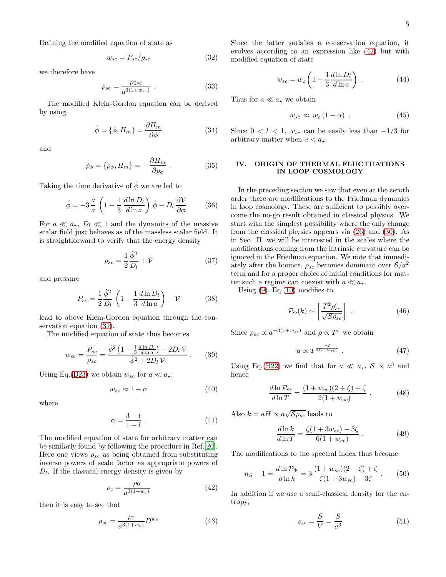Defining the modified equation of state as

$$
w_{sc} = P_{sc} / \rho_{sc} \tag{32}
$$

we therefore have

$$
\rho_{sc} = \frac{\rho_{0sc}}{a^{3(1+w_{sc})}} \ . \tag{33}
$$

The modified Klein-Gordon equation can be derived by using

$$
\dot{\phi} = \{\phi, H_m\} = \frac{\partial H_m}{\partial \phi} \tag{34}
$$

and

$$
\dot{p}_{\phi} = \{p_{\phi}, H_m\} = -\frac{\partial H_m}{\partial p_{\phi}}.
$$
 (35)

Taking the time derivative of  $\dot{\phi}$  we are led to

$$
\ddot{\phi} = -3\frac{\dot{a}}{a} \left( 1 - \frac{1}{3} \frac{d \ln D_l}{d \ln a} \right) \dot{\phi} - D_l \frac{\partial \mathcal{V}}{\partial \phi} . \tag{36}
$$

For  $a \ll a_{\star}$ ,  $D_l \ll 1$  and the dynamics of the massive scalar field just behaves as of the massless scalar field. It is straightforward to verify that the energy density

$$
\rho_{sc} = \frac{1}{2} \frac{\dot{\phi}^2}{D_l} + \mathcal{V} \tag{37}
$$

and pressure

$$
P_{sc} = \frac{1}{2} \frac{\dot{\phi}^2}{D_l} \left( 1 - \frac{1}{3} \frac{d \ln D_l}{d \ln a} \right) - \mathcal{V}
$$
 (38)

lead to above Klein-Gordon equation through the conservation equation [\(31\)](#page-4-3).

The modified equation of state thus becomes

$$
w_{sc} = \frac{P_{sc}}{\rho_{sc}} = \frac{\dot{\phi}^2 \left(1 - \frac{1}{3} \frac{d \ln D_l}{d \ln a}\right) - 2D_l V}{\dot{\phi}^2 + 2D_l V} \ . \tag{39}
$$

Using Eq.[\(B23\)](#page-9-2) we obtain  $w_{sc}$  for  $a \ll a_{\star}$ :

$$
w_{sc} \approx 1 - \alpha \tag{40}
$$

where

$$
\alpha = \frac{3-l}{1-l} \ . \tag{41}
$$

The modified equation of state for arbitrary matter can be similarly found by following the procedure in Ref.[\[20\]](#page-10-19). Here one views  $\rho_{sc}$  as being obtained from substituting inverse powers of scale factor as appropriate powers of  $D_l$ . If the classical energy density is given by

<span id="page-5-1"></span>
$$
\rho_c = \frac{\rho_0}{a^{3(1+w_c)}}\tag{42}
$$

then it is easy to see that

$$
\rho_{sc} = \frac{\rho_0}{a^{3(1+w_c)}} D^{w_c} \tag{43}
$$

Since the latter satisfies a conservation equation, it evolves according to an expression like [\(42\)](#page-5-1) but with modified equation of state

$$
w_{sc} = w_c \left( 1 - \frac{1}{3} \frac{d \ln D_l}{d \ln a} \right) \tag{44}
$$

Thus for  $a \ll a_{\star}$  we obtain

$$
w_{sc} \approx w_c (1 - \alpha) \tag{45}
$$

Since  $0 < l < 1$ ,  $w_{sc}$  can be easily less than  $-1/3$  for arbitrary matter when  $a < a_*$ .

# <span id="page-5-0"></span>IV. ORIGIN OF THERMAL FLUCTUATIONS IN LOOP COSMOLOGY

In the preceding section we saw that even at the zeroth order there are modifications to the Friedman dynamics in loop cosmology. These are sufficient to possibly overcome the no-go result obtained in classical physics. We start with the simplest possibility where the only change from the classical physics appears via [\(26\)](#page-4-4) and [\(30\)](#page-4-5). As in Sec. II, we will be interested in the scales where the modifications coming from the intrinsic curvature can be ignored in the Friedman equation. We note that immediately after the bounce,  $\rho_{sc}$  becomes dominant over  $S/a^2$ term and for a proper choice of initial conditions for matter such a regime can coexist with  $a \ll a_{\star}$ .

Using  $(9)$ , Eq. $(10)$  modifies to

$$
\mathcal{P}_{\Phi}(k) \sim \left[\frac{T^2 \rho_{sc}'}{\sqrt{\mathcal{S}\rho_{sc}}}\right] \tag{46}
$$

Since  $\rho_{sc} \propto a^{-3(1+w_{sc})}$  and  $\rho \propto T^{\zeta}$  we obtain

$$
a \propto T^{\frac{-\zeta}{3(1+w_{sc})}} \tag{47}
$$

Using Eq.[\(B22\)](#page-9-1) we find that for  $a \ll a_{\star}$ ,  $S \propto a^3$  and hence

$$
\frac{d \ln \mathcal{P}_{\Phi}}{d \ln T} = \frac{(1 + w_{sc})(2 + \zeta) + \zeta}{2(1 + w_{sc})} . \tag{48}
$$

Also  $k = aH \propto a\sqrt{\mathcal{S}\rho_{sc}}$  leads to

<span id="page-5-3"></span>
$$
\frac{d\ln k}{d\ln T} = \frac{\zeta(1+3w_{sc}) - 3\zeta}{6(1+w_{sc})} . \tag{49}
$$

The modifications to the spectral index thus become

<span id="page-5-2"></span>
$$
n_S - 1 = \frac{d \ln \mathcal{P}_{\Phi}}{d \ln k} = 3 \frac{(1 + w_{sc})(2 + \zeta) + \zeta}{\zeta (1 + 3w_{sc}) - 3\zeta} . \tag{50}
$$

In addition if we use a semi-classical density for the entropy,

$$
s_{sc} = \frac{S}{V} = \frac{S}{a^3} \tag{51}
$$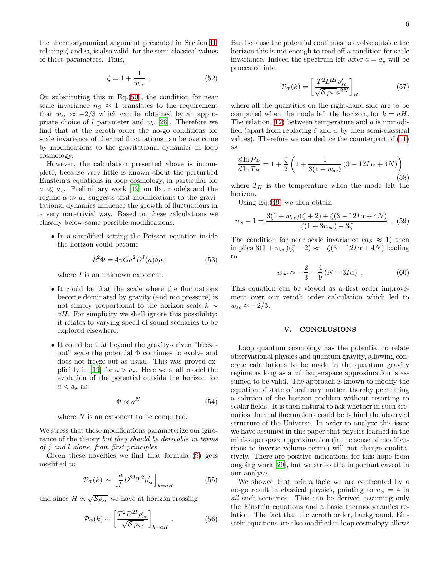the thermodynamical argument presented in Section [II,](#page-2-0) relating  $\zeta$  and w, is also valid, for the semi-classical values of these parameters. Thus,

$$
\zeta = 1 + \frac{1}{w_{sc}} \,. \tag{52}
$$

On substituting this in Eq.[\(50\)](#page-5-2), the condition for near scale invariance  $n_S \approx 1$  translates to the requirement that  $w_{sc} \approx -2/3$  which can be obtained by an appropriate choice of l parameter and  $w_c$  [\[28\]](#page-10-27). Therefore we find that at the zeroth order the no-go conditions for scale invariance of thermal fluctuations can be overcome by modifications to the gravitational dynamics in loop cosmology.

However, the calculation presented above is incomplete, because very little is known about the perturbed Einstein's equations in loop cosmology, in particular for  $a \ll a_{\star}$ . Preliminary work [\[19\]](#page-10-18) on flat models and the regime  $a \gg a_{\star}$  suggests that modifications to the gravitational dynamics influence the growth of fluctuations in a very non-trivial way. Based on these calculations we classify below some possible modifications:

• In a simplified setting the Poisson equation inside the horizon could become

$$
k^2 \Phi = 4\pi G a^2 D^I(a) \delta \rho, \qquad (53)
$$

where  $I$  is an unknown exponent.

- It could be that the scale where the fluctuations become dominated by gravity (and not pressure) is not simply proportional to the horizon scale  $k \sim$  $aH$ . For simplicity we shall ignore this possibility: it relates to varying speed of sound scenarios to be explored elsewhere.
- It could be that beyond the gravity-driven "freezeout" scale the potential Φ continues to evolve and does not freeze-out as usual. This was proved ex-plicitly in [\[19\]](#page-10-18) for  $a > a_{\star}$ . Here we shall model the evolution of the potential outside the horizon for  $a < a_{\star}$  as

$$
\Phi \propto a^N \tag{54}
$$

where  $N$  is an exponent to be computed.

We stress that these modifications parameterize our ignorance of the theory but they should be derivable in terms of j and l alone, from first principles.

Given these novelties we find that formula [\(9\)](#page-3-0) gets modified to

$$
\mathcal{P}_{\Phi}(k) \sim \left[\frac{a}{k} D^{2I} T^2 \rho_{sc}'\right]_{k=aH}
$$
\n(55)

and since  $H \propto \sqrt{\mathcal{S}\rho_{sc}}$  we have at horizon crossing

$$
\mathcal{P}_{\Phi}(k) \sim \left[ \frac{T^2 D^{2I} \rho_{sc}'}{\sqrt{\mathcal{S} \rho_{sc}}} \right]_{k=aH} . \tag{56}
$$

But because the potential continues to evolve outside the horizon this is not enough to read off a condition for scale invariance. Indeed the spectrum left after  $a = a_{\star}$  will be processed into

$$
\mathcal{P}_{\Phi}(k) = \left[\frac{T^2 D^{2I} \rho_{sc}'}{\sqrt{\mathcal{S}\,\rho_{sc} a^{2N}}}\right]_H\tag{57}
$$

where all the quantities on the right-hand side are to be computed when the mode left the horizon, for  $k = aH$ . The relation  $(12)$  between temperature and a is unmodified (apart from replacing  $\zeta$  and w by their semi-classical values). Therefore we can deduce the counterpart of [\(11\)](#page-3-5) as

$$
\frac{d \ln \mathcal{P}_{\Phi}}{d \ln T_H} = 1 + \frac{\zeta}{2} \left( 1 + \frac{1}{3(1 + w_{sc})} \left( 3 - 12I \alpha + 4N \right) \right)
$$
\n(58)

where  $T_H$  is the temperature when the mode left the horizon.

Using Eq.[\(49\)](#page-5-3) we then obtain

<span id="page-6-1"></span>
$$
n_S - 1 = \frac{3(1 + w_{sc})(\zeta + 2) + \zeta(3 - 12I\alpha + 4N)}{\zeta(1 + 3w_{sc}) - 3\zeta} \ . \tag{59}
$$

The condition for near scale invariance  $(n_S \approx 1)$  then implies  $3(1 + w_{sc})(\zeta + 2) \approx -\zeta(3 - 12I\alpha + 4N)$  leading to

$$
w_{sc} \approx -\frac{2}{3} - \frac{4}{9} (N - 3I\alpha) . \tag{60}
$$

This equation can be viewed as a first order improvement over our zeroth order calculation which led to  $w_{sc} \approx -2/3$ .

#### <span id="page-6-0"></span>V. CONCLUSIONS

Loop quantum cosmology has the potential to relate observational physics and quantum gravity, allowing concrete calculations to be made in the quantum gravity regime as long as a minisuperspace approximation is assumed to be valid. The approach is known to modify the equation of state of ordinary matter, thereby permitting a solution of the horizon problem without resorting to scalar fields. It is then natural to ask whether in such scenarios thermal fluctuations could be behind the observed structure of the Universe. In order to analyze this issue we have assumed in this paper that physics learned in the mini-superspace approximation (in the sense of modifications to inverse volume terms) will not change qualitatively. There are positive indications for this hope from ongoing work [\[29](#page-10-28)], but we stress this important caveat in our analysis.

We showed that prima facie we are confronted by a no-go result in classical physics, pointing to  $n<sub>S</sub> = 4$  in all such scenarios. This can be derived assuming only the Einstein equations and a basic thermodynamics relation. The fact that the zeroth order, background, Einstein equations are also modified in loop cosmology allows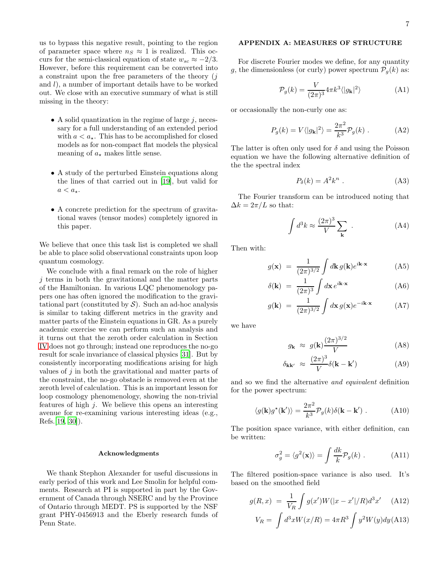us to bypass this negative result, pointing to the region of parameter space where  $n_S \approx 1$  is realized. This occurs for the semi-classical equation of state  $w_{sc} \approx -2/3$ . However, before this requirement can be converted into a constraint upon the free parameters of the theory  $(j$ and  $l$ ), a number of important details have to be worked out. We close with an executive summary of what is still missing in the theory:

- A solid quantization in the regime of large  $j$ , necessary for a full understanding of an extended period with  $a < a_{\star}$ . This has to be accomplished for closed models as for non-compact flat models the physical meaning of  $a_{\star}$  makes little sense.
- A study of the perturbed Einstein equations along the lines of that carried out in [\[19](#page-10-18)], but valid for  $a < a_{\star}$ .
- A concrete prediction for the spectrum of gravitational waves (tensor modes) completely ignored in this paper.

We believe that once this task list is completed we shall be able to place solid observational constraints upon loop quantum cosmology.

We conclude with a final remark on the role of higher  $j$  terms in both the gravitational and the matter parts of the Hamiltonian. In various LQC phenomenology papers one has often ignored the modification to the gravitational part (constituted by  $S$ ). Such an ad-hoc analysis is similar to taking different metrics in the gravity and matter parts of the Einstein equations in GR. As a purely academic exercise we can perform such an analysis and it turns out that the zeroth order calculation in Section [IV](#page-5-0) does not go through; instead one reproduces the no-go result for scale invariance of classical physics [\[31\]](#page-10-29). But by consistently incorporating modifications arising for high values of  $j$  in both the gravitational and matter parts of the constraint, the no-go obstacle is removed even at the zeroth level of calculation. This is an important lesson for loop cosmology phenomenology, showing the non-trivial features of high  $j$ . We believe this opens an interesting avenue for re-examining various interesting ideas (e.g., Refs.[\[19](#page-10-18), [30](#page-10-30)]).

#### Acknowledgments

We thank Stephon Alexander for useful discussions in early period of this work and Lee Smolin for helpful comments. Research at PI is supported in part by the Government of Canada through NSERC and by the Province of Ontario through MEDT. PS is supported by the NSF grant PHY-0456913 and the Eberly research funds of Penn State.

# <span id="page-7-0"></span>APPENDIX A: MEASURES OF STRUCTURE

For discrete Fourier modes we define, for any quantity g, the dimensionless (or curly) power spectrum  $\mathcal{P}_q(k)$  as:

$$
\mathcal{P}_g(k) = \frac{V}{(2\pi)^3} 4\pi k^3 \langle |g_{\mathbf{k}}|^2 \rangle \tag{A1}
$$

or occasionally the non-curly one as:

$$
P_g(k) = V\langle |g_{\mathbf{k}}|^2 \rangle = \frac{2\pi^2}{k^3} \mathcal{P}_g(k) . \tag{A2}
$$

The latter is often only used for  $\delta$  and using the Poisson equation we have the following alternative definition of the the spectral index

$$
P_{\delta}(k) = A^2 k^n . \tag{A3}
$$

The Fourier transform can be introduced noting that  $\Delta k = 2\pi/L$  so that:

$$
\int d^3k \approx \frac{(2\pi)^3}{V} \sum_{\mathbf{k}} .
$$
 (A4)

Then with:

$$
g(\mathbf{x}) = \frac{1}{(2\pi)^{3/2}} \int d\mathbf{k} \, g(\mathbf{k}) e^{i\mathbf{k} \cdot \mathbf{x}} \tag{A5}
$$

$$
\delta(\mathbf{k}) = \frac{1}{(2\pi)^3} \int d\mathbf{x} e^{i\mathbf{k}\cdot\mathbf{x}} \tag{A6}
$$

$$
g(\mathbf{k}) = \frac{1}{(2\pi)^{3/2}} \int d\mathbf{x} \, g(\mathbf{x}) e^{-i\mathbf{k} \cdot \mathbf{x}} \tag{A7}
$$

we have

$$
g_{\mathbf{k}} \approx g(\mathbf{k}) \frac{(2\pi)^{3/2}}{V}
$$
 (A8)

$$
\delta_{\mathbf{k}\mathbf{k'}} \approx \frac{(2\pi)^3}{V} \delta(\mathbf{k} - \mathbf{k'}) \tag{A9}
$$

and so we find the alternative and equivalent definition for the power spectrum:

$$
\langle g(\mathbf{k})g^{\star}(\mathbf{k}')\rangle = \frac{2\pi^2}{k^3} \mathcal{P}_g(k)\delta(\mathbf{k} - \mathbf{k}') . \tag{A10}
$$

The position space variance, with either definition, can be written:

$$
\sigma_g^2 = \langle g^2(\mathbf{x}) \rangle = \int \frac{dk}{k} \mathcal{P}_g(k) . \tag{A11}
$$

The filtered position-space variance is also used. It's based on the smoothed field

$$
g(R, x) = \frac{1}{V_R} \int g(x')W(|x - x'|/R)d^3x' \quad \text{(A12)}
$$

$$
V_R = \int d^3x W(x/R) = 4\pi R^3 \int y^2 W(y) dy \text{(A13)}
$$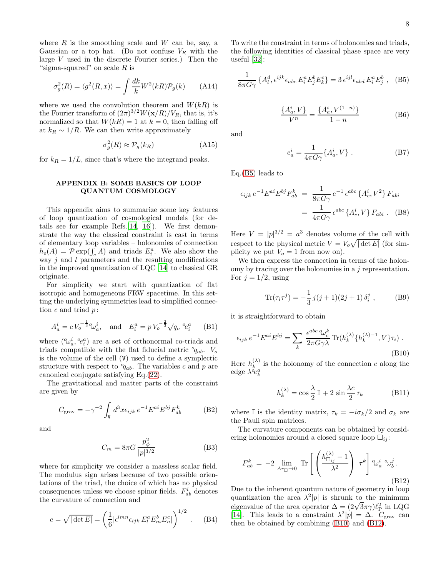where  $R$  is the smoothing scale and  $W$  can be, say, a Gaussian or a top hat. (Do not confuse  $V_R$  with the large  $V$  used in the discrete Fourier series.) Then the "sigma-squared" on scale  $R$  is

$$
\sigma_g^2(R) = \langle g^2(R, x) \rangle = \int \frac{dk}{k} W^2(kR) \mathcal{P}_g(k) \qquad (A14)
$$

where we used the convolution theorem and  $W(kR)$  is the Fourier transform of  $(2\pi)^{3/2}W(\mathbf{x}/R)/V_R$ , that is, it's normalized so that  $W(kR) = 1$  at  $k = 0$ , then falling off at  $k_R \sim 1/R$ . We can then write approximately

$$
\sigma_g^2(R) \approx \mathcal{P}_g(k_R) \tag{A15}
$$

for  $k_R = 1/L$ , since that's where the integrand peaks.

### <span id="page-8-0"></span>APPENDIX B: SOME BASICS OF LOOP QUANTUM COSMOLOGY

This appendix aims to summarize some key features of loop quantization of cosmological models (for details see for example Refs.[\[14,](#page-10-13) [16](#page-10-15)]). We first demonstrate the way the classical constraint is cast in terms of elementary loop variables – holonomies of connection  $h_e(A) = \mathcal{P} \exp(\int_e A)$  and triads  $E_i^a$ . We also show the way  $j$  and  $l$  parameters and the resulting modifications in the improved quantization of LQC [\[14](#page-10-13)] to classical GR originate.

For simplicity we start with quantization of flat isotropic and homogeneous FRW spacetime. In this setting the underlying symmetries lead to simplified connection  $c$  and triad  $p$ :

$$
A_a^i = c V_o^{-\frac{1}{3}} \omega_a^i, \text{ and } E_i^a = p V_o^{-\frac{2}{3}} \sqrt{q_o} e_i^a \quad \text{(B1)}
$$

where  $(\mathcal{C}_{a}^{i}, \mathcal{C}_{i}^{a})$  are a set of orthonormal co-triads and triads compatible with the flat fiducial metric  ${}^o\!q_{ab}$ .  $V_o$ is the volume of the cell (V) used to define a symplectic structure with respect to  $q_{ab}$ . The variables c and p are canonical conjugate satisfying Eq.[\(22\)](#page-4-6).

The gravitational and matter parts of the constraint are given by

$$
C_{\text{grav}} = -\gamma^{-2} \int_{\mathbf{V}} d^3 x \epsilon_{ijk} e^{-1} E^{ai} E^{bj} F_{ab}^k \tag{B2}
$$

and

$$
C_m = 8\pi G \frac{p_\phi^2}{|p|^{3/2}}\tag{B3}
$$

where for simplicity we consider a massless scalar field. The modulus sign arises because of two possible orientations of the triad, the choice of which has no physical consequences unless we choose spinor fields.  $F_{ab}^i$  denotes the curvature of connection and

$$
e = \sqrt{|\det E|} = \left(\frac{1}{6} |\epsilon^{lmn} \epsilon_{ijk} E_l^a E_m^b E_n^c|\right)^{1/2} . \quad (B4)
$$

To write the constraint in terms of holonomies and triads, the following identities of classical phase space are very useful [\[32](#page-10-31)]:

<span id="page-8-1"></span>
$$
\frac{1}{8\pi G\gamma} \left\{ A_l^d, \epsilon^{ijk} \epsilon_{abc} E_i^a E_j^b E_k^c \right\} = 3 \epsilon^{ijl} \epsilon_{abd} E_i^a E_j^b , \quad (B5)
$$

$$
\frac{\{A^i_a, V\}}{V^n} = \frac{\{A^i_a, V^{(1-n)}\}}{1-n}
$$
 (B6)

and

<span id="page-8-4"></span>
$$
e_a^i = \frac{1}{4\pi G\gamma} \{A_a^i, V\} . \tag{B7}
$$

Eq.[\(B5\)](#page-8-1) leads to

$$
\epsilon_{ijk} e^{-1} E^{ai} E^{bj} F_{ab}^k = \frac{1}{8\pi G \gamma} e^{-1} \epsilon^{abc} \{A_c^i, V^2\} F_{abi}
$$

$$
= \frac{1}{4\pi G \gamma} \epsilon^{abc} \{A_c^i, V\} F_{abi} .
$$
 (B8)

Here  $V = |p|^{3/2} = a^3$  denotes volume of the cell with respect to the physical metric  $V = V_o \sqrt{|\det E|}$  (for simplicity we put  $V_o = 1$  from now on).

We then express the connection in terms of the holonomy by tracing over the holonomies in a j representation. For  $j = 1/2$ , using

<span id="page-8-5"></span>
$$
\text{Tr}(\tau_i \tau^j) = -\frac{1}{3} j(j+1)(2j+1) \delta_i^j , \qquad (B9)
$$

it is straightforward to obtain

<span id="page-8-2"></span>
$$
\epsilon_{ijk} e^{-1} E^{ai} E^{bj} = \sum_{k} \frac{\epsilon^{abc} \omega_c^k}{2\pi G \gamma \lambda} \text{Tr}(h_k^{(\lambda)} \{h_k^{(\lambda)-1}, V\} \tau_i) .
$$
\n(B10)

Here  $h_k^{(\lambda)}$  $\kappa_k^{(\lambda)}$  is the holonomy of the connection c along the edge  $\lambda^{\ddot{o}}e^a_k$ 

$$
h_k^{(\lambda)} = \cos\frac{\lambda}{2}\mathbb{I} + 2\sin\frac{\lambda c}{2}\tau_k
$$
 (B11)

where I is the identity matrix,  $\tau_k = -i\sigma_k/2$  and  $\sigma_k$  are the Pauli spin matrices.

The curvature components can be obtained by considering holonomies around a closed square loop  $\square_{ii}$ :

<span id="page-8-3"></span>
$$
F_{ab}^k = -2 \lim_{Ar_{\Box} \to 0} \text{Tr}\left[\left(\frac{h_{\Box_{ij}}^{(\lambda)} - 1}{\lambda^2}\right) \tau^k\right] \omega_a^i \omega_b^j.
$$
\n(B12)

Due to the inherent quantum nature of geometry in loop quantization the area  $\lambda^2|p|$  is shrunk to the minimum eigenvalue of the area operator  $\Delta = (2\sqrt{3}\pi\gamma)\ell_{\rm P}^2$  in LQG [\[14\]](#page-10-13). This leads to a constraint  $\lambda^2|p| = \Delta$ . C<sub>grav</sub> can then be obtained by combining [\(B10\)](#page-8-2) and [\(B12\)](#page-8-3).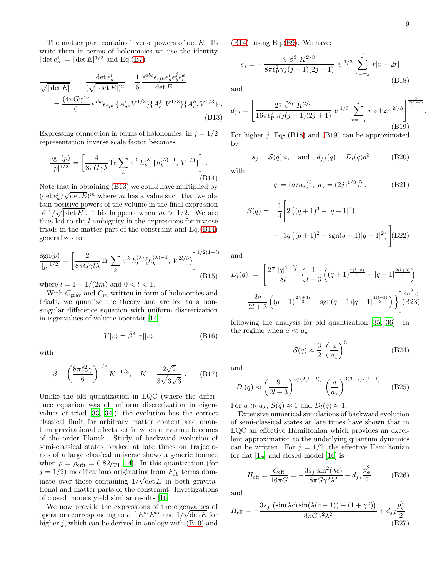.

The matter part contains inverse powers of  $\det E$ . To write them in terms of holonomies we use the identity  $|\det e_a^i| = |\det E|^{1/2}$  and Eq.[\(B7\)](#page-8-4)

<span id="page-9-4"></span>
$$
\frac{1}{\sqrt{|\det E|}} = \frac{\det e_a^i}{(\sqrt{|\det E|})^2} = \frac{1}{6} \frac{\epsilon^{abc} \epsilon_{ijk} e_a^i e_b^j e_c^k}{\det E}
$$

$$
= \frac{(4\pi G\gamma)^3}{6} \epsilon^{abc} \epsilon_{ijk} \{A_a^i, V^{1/3}\} \{A_b^j, V^{1/3}\} \{A_c^k, V^{1/3}\}.
$$
(B13)

Expressing connection in terms of holonomies, in  $j = 1/2$ representation inverse scale factor becomes

<span id="page-9-5"></span>
$$
\frac{\text{sgn}(p)}{|p|^{1/2}} = \left[ \frac{4}{8\pi G \gamma \lambda} \text{Tr} \sum_{k} \tau^{k} h_{k}^{(\lambda)} \{ h_{k}^{(\lambda)-1}, V^{1/3} \} \right].
$$
\n(B14)

Note that in obtaining [\(B13\)](#page-9-4) we could have multiplied by  $(\det e_a^i/\sqrt{\det E})^m$  where m has a value such that we obtain positive powers of the volume in the final expression of  $1/\sqrt{|\det E|}$ . This happens when  $m > 1/2$ . We are thus led to the  $l$  ambiguity in the expressions for inverse triads in the matter part of the constraint and Eq.[\(B14\)](#page-9-5) generalizes to

$$
\frac{\text{sgn}(p)}{|p|^{1/2}} = \left[\frac{2}{8\pi G\gamma l\lambda} \text{Tr} \sum_{k} \tau^{k} h_{k}^{(\lambda)} \{h_{k}^{(\lambda)-1}, V^{2l/3}\}\right]^{1/2(1-l)}\tag{B15}
$$

where  $l = 1 - 1/(2m)$  and  $0 < l < 1$ .

With  $C_{\text{grav}}$  and  $C_m$  written in form of holonomies and triads, we quantize the theory and are led to a nonsingular difference equation with uniform discretization in eigenvalues of volume operator [\[14\]](#page-10-13):

$$
\hat{V}|v\rangle = \tilde{\beta}^3 |v||v\rangle \tag{B16}
$$

with

$$
\tilde{\beta} = \left(\frac{8\pi\ell_{\rm P}^2\gamma}{6}\right)^{1/2} K^{-1/3}, \quad K = \frac{2\sqrt{2}}{3\sqrt{3\sqrt{3}}} \ . \tag{B17}
$$

Unlike the old quantization in LQC (where the difference equation was of uniform discretization in eigenvalues of triad [\[33](#page-10-32), [34\]](#page-10-33)), the evolution has the correct classical limit for arbitrary matter content and quantum gravitational effects set in when curvature becomes of the order Planck. Study of backward evolution of semi-classical states peaked at late times on trajectories of a large classical universe shows a generic bounce when  $\rho = \rho_{\rm crit} = 0.82 \rho_{\rm Pl}$  [\[14\]](#page-10-13). In this quantization (for  $j = 1/2$ ) modifications originating from  $F_{ab}^i$  terms dominate over those containing  $1/\sqrt{\det E}$  in both gravitational and matter parts of the constraint. Investigations of closed models yield similar results [\[16\]](#page-10-15).

We now provide the expressions of the eigenvalues of operators corresponding to  $e^{-1}E^{ai}E^{bi}$  and  $1/\sqrt{\det E}$  for higher  $j$ , which can be derived in analogy with  $(B10)$  and

 $(B14)$ , using Eq. $(B9)$ . We have:

<span id="page-9-6"></span>
$$
s_j = -\frac{9 \tilde{\beta}^3 K^{2/3}}{8\pi \ell_{\rm P}^2 \gamma j(j+1)(2j+1)} |v|^{1/3} \sum_{r=-j}^{j} r|v - 2r|
$$
\n(B18)

and

<span id="page-9-7"></span>
$$
d_{j,l} = \left[ \frac{27 \ \tilde{\beta}^{2l} K^{2/3}}{16\pi \ell_{\rm P}^2 \gamma l j (j+1)(2j+1)} |v|^{1/3} \sum_{r=-j}^j r|v+2r|^{2l/3} \right]^{\frac{3}{2(1-l)}} (B19)
$$

For higher j, Eqs.  $(B18)$  and  $(B19)$  can be approximated by

<span id="page-9-3"></span>
$$
s_j = \mathcal{S}(q) a
$$
, and  $d_{j,l}(q) = D_l(q) a^3$  (B20)

with

<span id="page-9-0"></span>
$$
q := (a/a_{\star})^3, a_{\star} = (2j)^{1/3} \tilde{\beta},
$$
 (B21)

<span id="page-9-1"></span>
$$
S(q) = \frac{1}{4} \left[ 2 \left( (q+1)^3 - |q-1|^3 \right) - 3q \left( (q+1)^2 - \text{sgn}(q-1) |q-1|^2 \right) \right]
$$
(B22)

and

<span id="page-9-2"></span>
$$
D_l(q) = \left[ \frac{27 |q|^{1-\frac{2l}{3}}}{8l} \left\{ \frac{1}{l+3} \left( (q+1)^{\frac{2(l+3)}{3}} - |q-1|^{\frac{2(l+3)}{3}} \right) - \frac{2q}{2l+3} \left( (q+1)^{\frac{2(l+3)}{3}} - \text{sgn}(q-1)|q-1|^{\frac{2(l+3)}{3}} \right) \right\} \right]^{2\frac{3}{2(1-l)}}
$$

following the analysis for old quantization [\[35](#page-10-34), [36\]](#page-10-35). In the regime when  $a \ll a_{\star}$ 

$$
S(q) \approx \frac{3}{2} \left(\frac{a}{a_{\star}}\right)^3 \tag{B24}
$$

and

$$
D_l(q) \approx \left(\frac{9}{2l+3}\right)^{3/(2(1-l))} \left(\frac{a}{a_*}\right)^{3(3-l)/(1-l)}.
$$
 (B25)

For  $a \gg a_{\star}$ ,  $\mathcal{S}(q) \approx 1$  and  $D_l(q) \approx 1$ .

Extensive numerical simulations of backward evolution of semi-classical states at late times have shown that in LQC an effective Hamiltonian which provides an excellent approximation to the underlying quantum dynamics can be written. For  $j = 1/2$ , the effective Hamiltonian for flat [\[14\]](#page-10-13) and closed model [\[16\]](#page-10-15) is

$$
H_{\text{eff}} = \frac{C_{\text{eff}}}{16\pi G} = -\frac{3s_j \sin^2(\lambda c)}{8\pi G \gamma^2 \lambda^2} + d_{j,l} \frac{p_{\phi}^2}{2}
$$
(B26)

and

$$
H_{\text{eff}} = -\frac{3s_j \left(\sin(\lambda c) \sin(\lambda (c-1)) + (1+\gamma^2)\right)}{8\pi G \gamma^2 \lambda^2} + d_{j,l} \frac{p_\phi^2}{2}
$$
\n(B27)